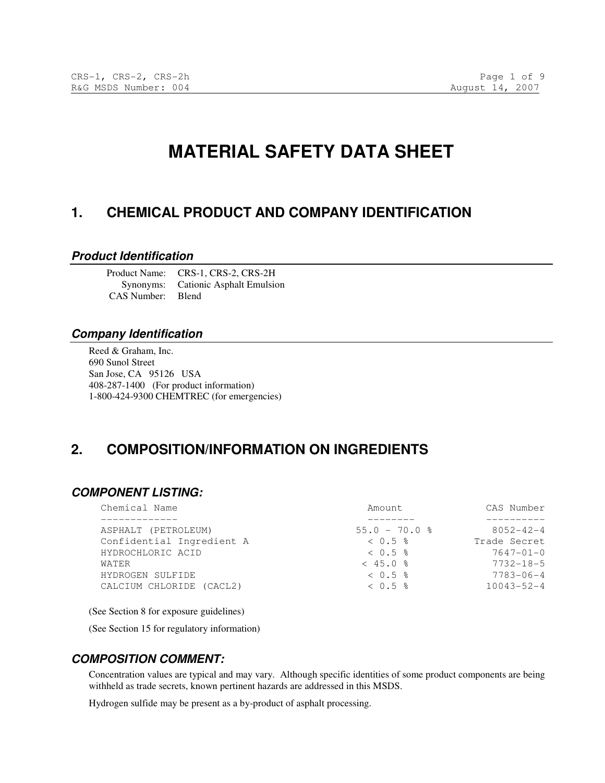# **MATERIAL SAFETY DATA SHEET**

## **1. CHEMICAL PRODUCT AND COMPANY IDENTIFICATION**

#### **Product Identification**

Product Name: CRS-1, CRS-2, CRS-2H Synonyms: Cationic Asphalt Emulsion CAS Number: Blend

#### **Company Identification**

Reed & Graham, Inc. 690 Sunol Street San Jose, CA 95126 USA 408-287-1400 (For product information) 1-800-424-9300 CHEMTREC (for emergencies)

# **2. COMPOSITION/INFORMATION ON INGREDIENTS**

#### **COMPONENT LISTING:**

| Chemical Name             | Amount.           | CAS Number       |
|---------------------------|-------------------|------------------|
|                           |                   |                  |
| ASPHALT (PETROLEUM)       | $55.0 - 70.0$ %   | $8052 - 42 - 4$  |
| Confidential Ingredient A | $< 0.5$ %         | Trade Secret     |
| HYDROCHLORIC ACID         | $< 0.5$ $\approx$ | $7647 - 01 - 0$  |
| WATER                     | $< 45.0$ %        | $7732 - 18 - 5$  |
| HYDROGEN SULFIDE          | $< 0.5$ $\approx$ | $7783 - 06 - 4$  |
| CALCIUM CHLORIDE (CACL2)  | $< 0.5$ $\approx$ | $10043 - 52 - 4$ |
|                           |                   |                  |

(See Section 8 for exposure guidelines)

(See Section 15 for regulatory information)

#### **COMPOSITION COMMENT:**

Concentration values are typical and may vary. Although specific identities of some product components are being withheld as trade secrets, known pertinent hazards are addressed in this MSDS.

Hydrogen sulfide may be present as a by-product of asphalt processing.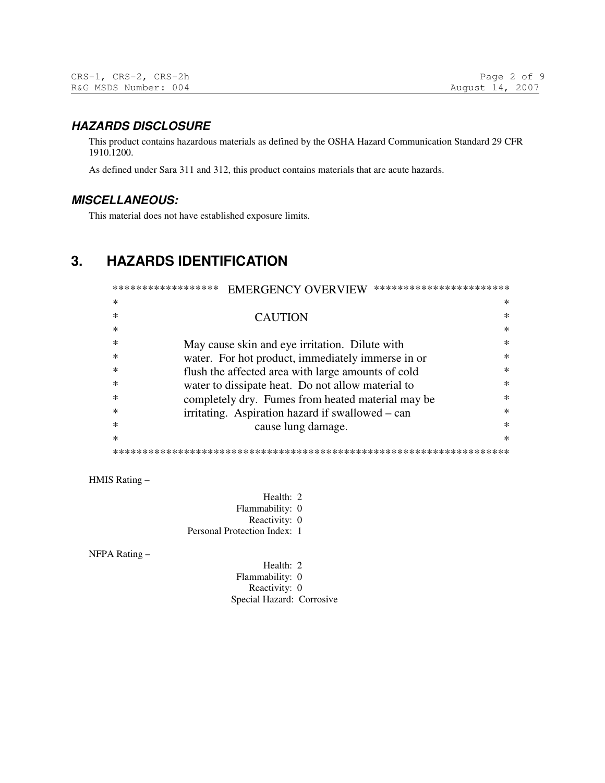## **HAZARDS DISCLOSURE**

This product contains hazardous materials as defined by the OSHA Hazard Communication Standard 29 CFR 1910.1200.

As defined under Sara 311 and 312, this product contains materials that are acute hazards.

## **MISCELLANEOUS:**

This material does not have established exposure limits.

# **3. HAZARDS IDENTIFICATION**

| ******************<br>***********************<br><b>EMERGENCY OVERVIEW</b> |                                                    |        |  |  |
|----------------------------------------------------------------------------|----------------------------------------------------|--------|--|--|
| ж                                                                          |                                                    | ∗      |  |  |
|                                                                            | <b>CAUTION</b>                                     | $\ast$ |  |  |
|                                                                            |                                                    | $\ast$ |  |  |
|                                                                            | May cause skin and eye irritation. Dilute with     | $\ast$ |  |  |
|                                                                            | water. For hot product, immediately immerse in or  | $\ast$ |  |  |
|                                                                            | flush the affected area with large amounts of cold | *      |  |  |
| ∗                                                                          | water to dissipate heat. Do not allow material to  | $\ast$ |  |  |
| ∗                                                                          | completely dry. Fumes from heated material may be  | $\ast$ |  |  |
|                                                                            | irritating. Aspiration hazard if swallowed – can   | ж      |  |  |
|                                                                            | cause lung damage.                                 | $\ast$ |  |  |
| ∗                                                                          |                                                    | $\ast$ |  |  |
|                                                                            |                                                    |        |  |  |

HMIS Rating –

Health: 2 Flammability: 0 Reactivity: 0 Personal Protection Index: 1

NFPA Rating –

Health: 2 Flammability: 0 Reactivity: 0 Special Hazard: Corrosive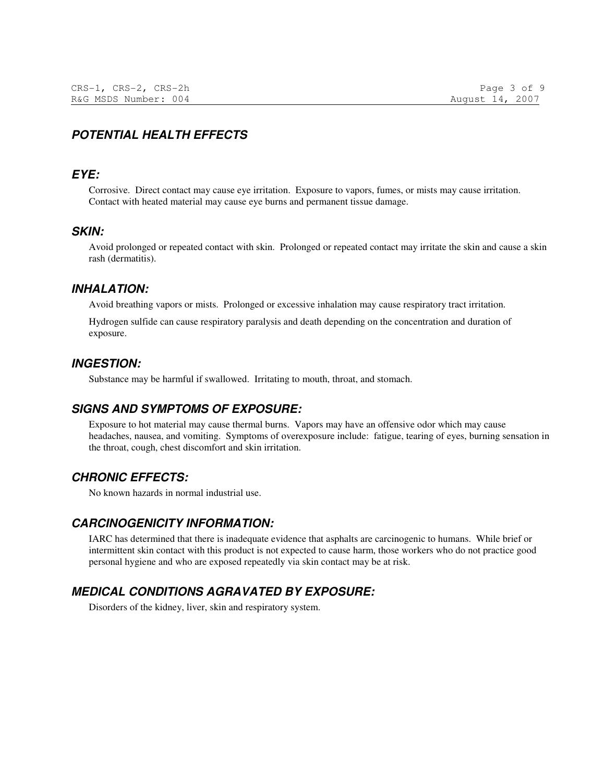# **POTENTIAL HEALTH EFFECTS**

### **EYE:**

Corrosive. Direct contact may cause eye irritation. Exposure to vapors, fumes, or mists may cause irritation. Contact with heated material may cause eye burns and permanent tissue damage.

#### **SKIN:**

Avoid prolonged or repeated contact with skin. Prolonged or repeated contact may irritate the skin and cause a skin rash (dermatitis).

#### **INHALATION:**

Avoid breathing vapors or mists. Prolonged or excessive inhalation may cause respiratory tract irritation.

Hydrogen sulfide can cause respiratory paralysis and death depending on the concentration and duration of exposure.

#### **INGESTION:**

Substance may be harmful if swallowed. Irritating to mouth, throat, and stomach.

#### **SIGNS AND SYMPTOMS OF EXPOSURE:**

Exposure to hot material may cause thermal burns. Vapors may have an offensive odor which may cause headaches, nausea, and vomiting. Symptoms of overexposure include: fatigue, tearing of eyes, burning sensation in the throat, cough, chest discomfort and skin irritation.

## **CHRONIC EFFECTS:**

No known hazards in normal industrial use.

#### **CARCINOGENICITY INFORMATION:**

IARC has determined that there is inadequate evidence that asphalts are carcinogenic to humans. While brief or intermittent skin contact with this product is not expected to cause harm, those workers who do not practice good personal hygiene and who are exposed repeatedly via skin contact may be at risk.

## **MEDICAL CONDITIONS AGRAVATED BY EXPOSURE:**

Disorders of the kidney, liver, skin and respiratory system.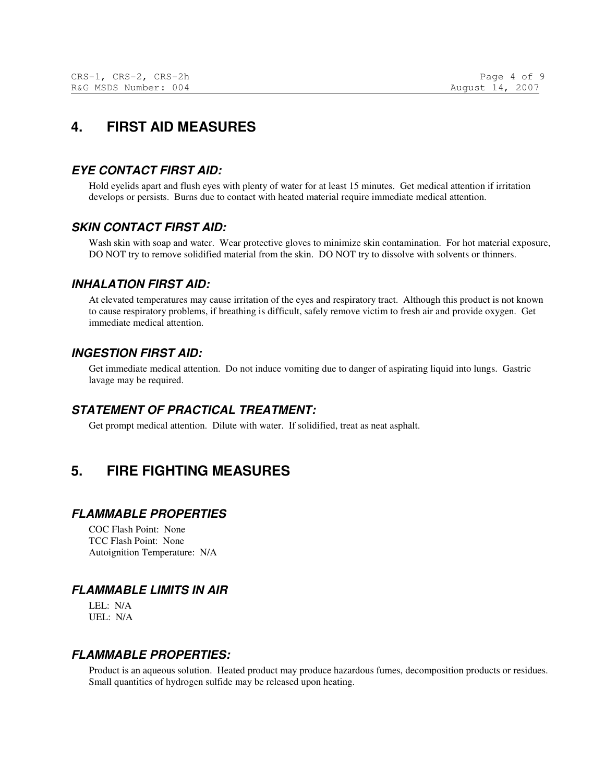# **4. FIRST AID MEASURES**

## **EYE CONTACT FIRST AID:**

Hold eyelids apart and flush eyes with plenty of water for at least 15 minutes. Get medical attention if irritation develops or persists. Burns due to contact with heated material require immediate medical attention.

## **SKIN CONTACT FIRST AID:**

Wash skin with soap and water. Wear protective gloves to minimize skin contamination. For hot material exposure, DO NOT try to remove solidified material from the skin. DO NOT try to dissolve with solvents or thinners.

## **INHALATION FIRST AID:**

At elevated temperatures may cause irritation of the eyes and respiratory tract. Although this product is not known to cause respiratory problems, if breathing is difficult, safely remove victim to fresh air and provide oxygen. Get immediate medical attention.

## **INGESTION FIRST AID:**

Get immediate medical attention. Do not induce vomiting due to danger of aspirating liquid into lungs. Gastric lavage may be required.

## **STATEMENT OF PRACTICAL TREATMENT:**

Get prompt medical attention. Dilute with water. If solidified, treat as neat asphalt.

# **5. FIRE FIGHTING MEASURES**

## **FLAMMABLE PROPERTIES**

COC Flash Point: None TCC Flash Point: None Autoignition Temperature: N/A

## **FLAMMABLE LIMITS IN AIR**

LEL: N/A UEL: N/A

## **FLAMMABLE PROPERTIES:**

Product is an aqueous solution. Heated product may produce hazardous fumes, decomposition products or residues. Small quantities of hydrogen sulfide may be released upon heating.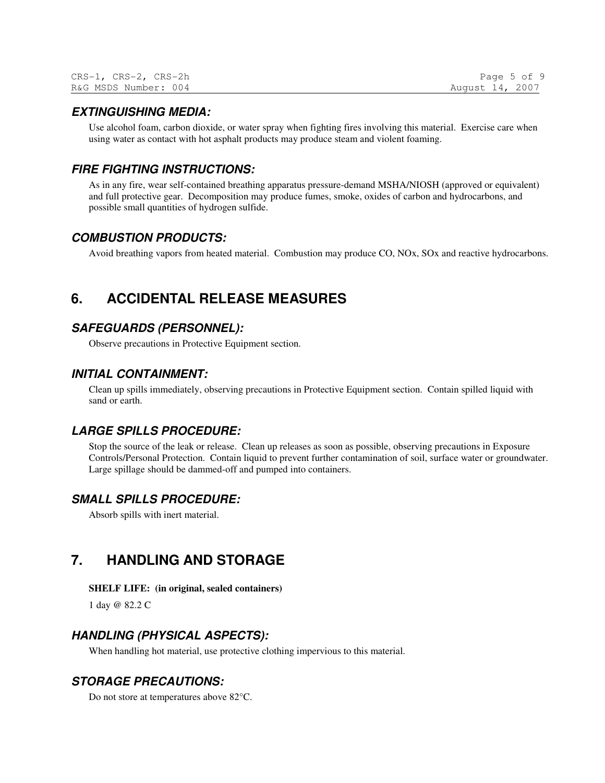| CRS-1, CRS-2, CRS-2h | Page 5 of 9     |
|----------------------|-----------------|
| R&G MSDS Number: 004 | August 14, 2007 |

#### **EXTINGUISHING MEDIA:**

Use alcohol foam, carbon dioxide, or water spray when fighting fires involving this material. Exercise care when using water as contact with hot asphalt products may produce steam and violent foaming.

#### **FIRE FIGHTING INSTRUCTIONS:**

As in any fire, wear self-contained breathing apparatus pressure-demand MSHA/NIOSH (approved or equivalent) and full protective gear. Decomposition may produce fumes, smoke, oxides of carbon and hydrocarbons, and possible small quantities of hydrogen sulfide.

#### **COMBUSTION PRODUCTS:**

Avoid breathing vapors from heated material. Combustion may produce CO, NOx, SOx and reactive hydrocarbons.

## **6. ACCIDENTAL RELEASE MEASURES**

## **SAFEGUARDS (PERSONNEL):**

Observe precautions in Protective Equipment section.

#### **INITIAL CONTAINMENT:**

Clean up spills immediately, observing precautions in Protective Equipment section. Contain spilled liquid with sand or earth.

#### **LARGE SPILLS PROCEDURE:**

Stop the source of the leak or release. Clean up releases as soon as possible, observing precautions in Exposure Controls/Personal Protection. Contain liquid to prevent further contamination of soil, surface water or groundwater. Large spillage should be dammed-off and pumped into containers.

#### **SMALL SPILLS PROCEDURE:**

Absorb spills with inert material.

## **7. HANDLING AND STORAGE**

#### **SHELF LIFE: (in original, sealed containers)**

1 day @ 82.2 C

#### **HANDLING (PHYSICAL ASPECTS):**

When handling hot material, use protective clothing impervious to this material.

## **STORAGE PRECAUTIONS:**

Do not store at temperatures above 82°C.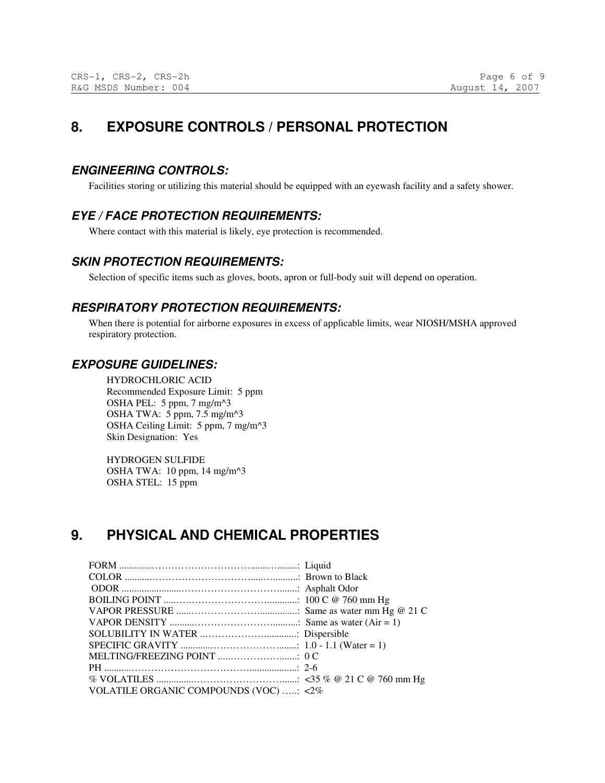# **8. EXPOSURE CONTROLS / PERSONAL PROTECTION**

## **ENGINEERING CONTROLS:**

Facilities storing or utilizing this material should be equipped with an eyewash facility and a safety shower.

## **EYE / FACE PROTECTION REQUIREMENTS:**

Where contact with this material is likely, eye protection is recommended.

## **SKIN PROTECTION REQUIREMENTS:**

Selection of specific items such as gloves, boots, apron or full-body suit will depend on operation.

## **RESPIRATORY PROTECTION REQUIREMENTS:**

When there is potential for airborne exposures in excess of applicable limits, wear NIOSH/MSHA approved respiratory protection.

## **EXPOSURE GUIDELINES:**

HYDROCHLORIC ACID Recommended Exposure Limit: 5 ppm OSHA PEL: 5 ppm, 7 mg/m^3 OSHA TWA: 5 ppm, 7.5 mg/m^3 OSHA Ceiling Limit: 5 ppm, 7 mg/m^3 Skin Designation: Yes

HYDROGEN SULFIDE OSHA TWA: 10 ppm, 14 mg/m^3 OSHA STEL: 15 ppm

# **9. PHYSICAL AND CHEMICAL PROPERTIES**

| VOLATILE ORGANIC COMPOUNDS (VOC) : <2% |  |
|----------------------------------------|--|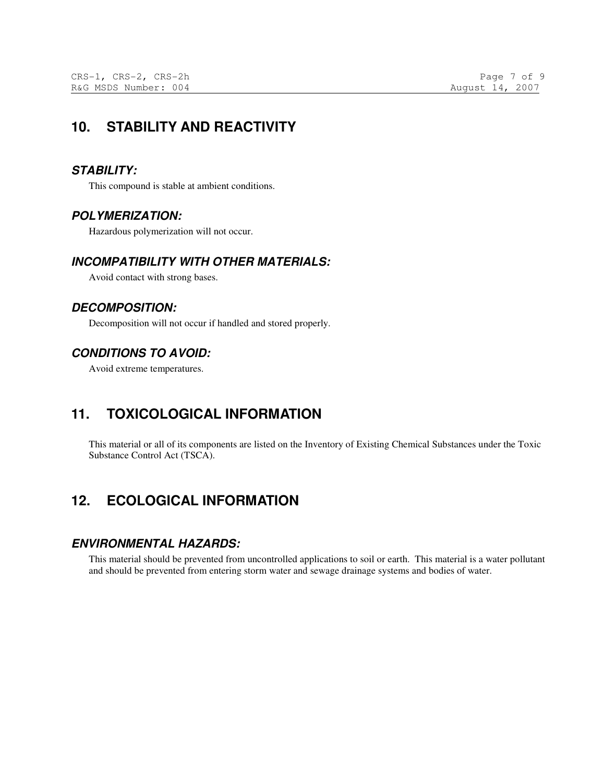# **10. STABILITY AND REACTIVITY**

## **STABILITY:**

This compound is stable at ambient conditions.

## **POLYMERIZATION:**

Hazardous polymerization will not occur.

## **INCOMPATIBILITY WITH OTHER MATERIALS:**

Avoid contact with strong bases.

## **DECOMPOSITION:**

Decomposition will not occur if handled and stored properly.

## **CONDITIONS TO AVOID:**

Avoid extreme temperatures.

# **11. TOXICOLOGICAL INFORMATION**

This material or all of its components are listed on the Inventory of Existing Chemical Substances under the Toxic Substance Control Act (TSCA).

# **12. ECOLOGICAL INFORMATION**

## **ENVIRONMENTAL HAZARDS:**

This material should be prevented from uncontrolled applications to soil or earth. This material is a water pollutant and should be prevented from entering storm water and sewage drainage systems and bodies of water.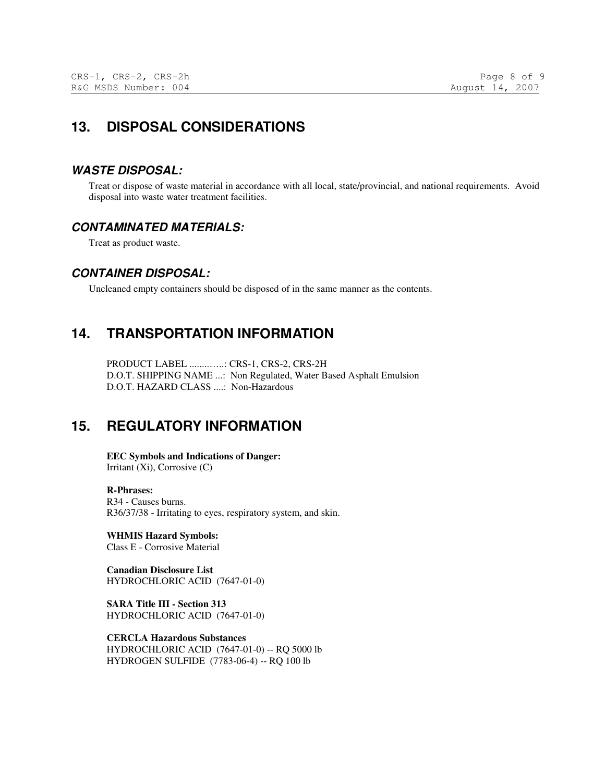# **13. DISPOSAL CONSIDERATIONS**

## **WASTE DISPOSAL:**

Treat or dispose of waste material in accordance with all local, state/provincial, and national requirements. Avoid disposal into waste water treatment facilities.

## **CONTAMINATED MATERIALS:**

Treat as product waste.

## **CONTAINER DISPOSAL:**

Uncleaned empty containers should be disposed of in the same manner as the contents.

# **14. TRANSPORTATION INFORMATION**

PRODUCT LABEL ........…..: CRS-1, CRS-2, CRS-2H D.O.T. SHIPPING NAME ...: Non Regulated, Water Based Asphalt Emulsion D.O.T. HAZARD CLASS ....: Non-Hazardous

# **15. REGULATORY INFORMATION**

**EEC Symbols and Indications of Danger:**  Irritant (Xi), Corrosive (C)

**R-Phrases:**  R34 - Causes burns. R36/37/38 - Irritating to eyes, respiratory system, and skin.

**WHMIS Hazard Symbols:**  Class E - Corrosive Material

**Canadian Disclosure List**  HYDROCHLORIC ACID (7647-01-0)

**SARA Title III - Section 313**  HYDROCHLORIC ACID (7647-01-0)

**CERCLA Hazardous Substances**  HYDROCHLORIC ACID (7647-01-0) -- RQ 5000 lb HYDROGEN SULFIDE (7783-06-4) -- RQ 100 lb